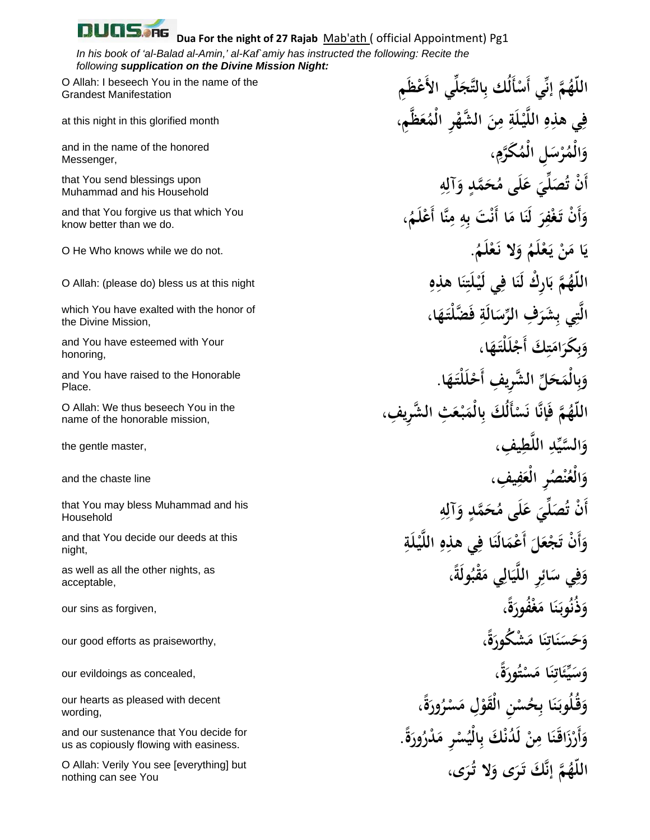## UQS.RG

## **Dua For the night of 27 Rajab** Mab'ath ( official Appointment) Pg1

*In his book of 'al-Balad al-Amin,' al-Kaf`amiy has instructed the following: Recite the following supplication on the Divine Mission Night:* 

Grandest Manifestation

and in the name of the honored Messenger,

Muhammad and his Household

know better than we do.

the Divine Mission,

and You have esteemed with Your honoring,

and You have raised to the Honorable Place.

name of the honorable mission,

Household

and that You decide our deeds at this night,

acceptable,

**حَ** our good efforts as praiseworthy, **و**

wording,

and our sustenance that You decide for us as copiously flowing with easiness.

**V** Allah: Verily You see [everything] but **اللَّهُمَّ إنَّكَ تَرَى وَلا تُرَى،**<br>nothing can see You nothing can see You

**َِم ي الأَ ْعظ ِّ َل ج ِالتَّ ْأَلُك ب ي أَس م إنِّ ُ َّ ّه الل** O Allah: I beseech You in the name of the فِي هذِهِ اللَّيْلَةِ مِنَ الشَّهْرِ الْمُعَظَّمِ، at this night in this glorified month وَالْمُرْسَلِ الْمُكَرَّمِ، **ِ i** that You send blessings upon<br>Muhammad and his Household<br>کَانَ تُصَلِّيَ عَلَى مُحَمَّلٍ وَآلِهِ **ِ ، ُ َم ِنَّا أَ ْعل ِ م ِه ْ َت ب ا أَن ا م َ لَن ِر ْف َغ أَ ْن تـ و** and that You forgive us that which You **َ َ َ . ُ َم ْل َع َلا نـ ُ و َم ْل َع ْ يـ َن ا م َ** O He Who knows while we do not. **ي ِ ِه ا هذ ن َت ْل ِي لَيـ ا ف َ ِارْك لَن م ب َّ ُ** O Allah: (please do) bless us at this night **هّ الل َ ِ َ** which You have exalted with the honor of **الَّ**تِي بِشَرَفِ الرِّسَالَةِ فَضَّلْتَـهَا ،<br>Ihe Divine Mission, **َ ب** وَبِكَرَامَتِكَ أَجْلَلْتَهَا، **َِ ب َ َا. َه َْلتـ ْل الشِر ِ يف أَح َ ِّل َّ َح ِالْم و ب**<br>ج **َ الشِر ِ يف، َ ِث َّ ْع َبـ ِالْم أَلُ َك ب َس ا ن َّ َإن م ف ُ َّ ّه الل** O Allah: We thus beseech You in the **ْ ِ ِ يف، ط َّ ِ الل ِّد السي َّ َ** the gentle master, **و ِ ِ يف، َف ْ ُصِر الْع ن ُ عْالَ** and the chaste line **و ِ** that You may bless Muhammad and his أَنْ تُصَلِّيَ عَلَى مُحَمَّدٍ وَآلِهِ<br>Household **ِ ِ َة ْل يـ َّ ِ الل ِه ِي هذ ا ف َالَن َ أَ ْعم َل َ ْجع أَ ْن ت و َ َ ،ً ُولَة َ ْقب ِي م َال ي َّ ِِر الل َائ ِي س ف و** as well as all the other nights, as **َ**  $\hat{\textbf{i}}$ فَعْفُورَةً،<br>ا **َ َ بہ ذَ** our sins as forgiven, **و ،ً ة َ ْش ُكور ا م ن َات ن َس َ َ ِ َ ،ً ة ُور ت َس ا م ن َات ِّئ ي سَ** our evildoings as concealed, **و َ ْ َ** <u>ِبُ</u> **َ ،ً ة ُور ْر َس ِل م الْقو ْ ِن َ ُس ِح ا ب ن ُوبـ َ ُقـل و** our hearts as pleased with decent **َ ْ َ ب**<br>. وَأَرْزَاقَنَا مِنْ لَدُنْكَ بِالْيُسْرِ مَدْرُورَةً. **ْ َ َ**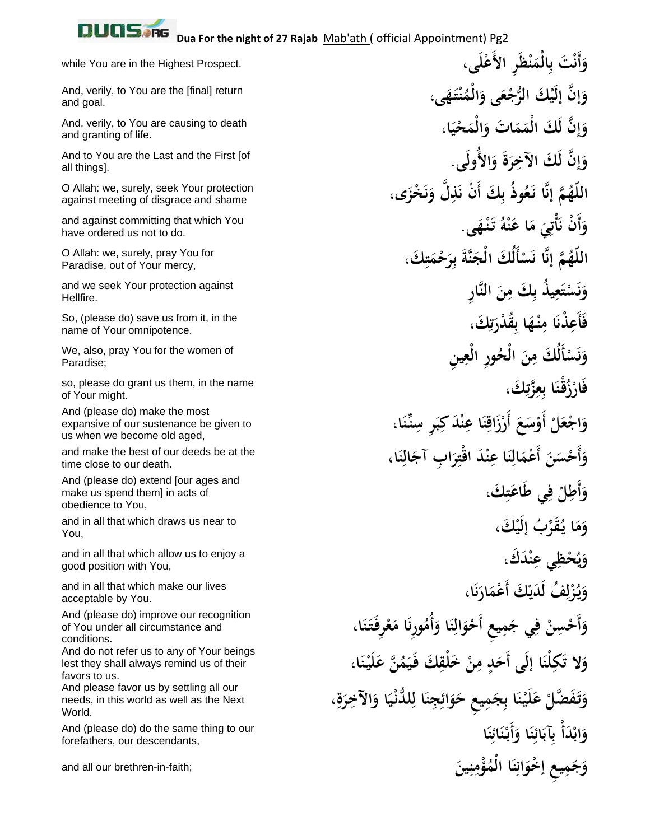

**َ**

and goal.

and granting of life.

all things].

against meeting of disgrace and shame

have ordered us not to do.

Paradise, out of Your mercy,

Hellfire.

name of Your omnipotence.

Paradise;

**ف** so, please do grant us them, in the name of Your might.

And (please do) make the most expansive of our sustenance be given to us when we become old aged,

and make the best of our deeds be at the time close to our death.

And (please do) extend [our ages and make us spend them] in acts of obedience to You,

and in all that which draws us near to You,

good position with You,

and in all that which make our lives acceptable by You.

And (please do) improve our recognition of You under all circumstance and conditions.

And do not refer us to any of Your beings lest they shall always remind us of their favors to us.

And please favor us by settling all our needs, in this world as well as the Next World.

forefathers, our descendants,

**َى، َِر الأَ ْعل ْظ ن ِالْم ْ َت ب أَن َ** while You are in the Highest Prospect. **و َ َى، َه ْتـ ن ُ َالْم َى و ْع ْ َك ُّ الرج إن إلَي َ َّ و** And, verily, to You are the [final] return **َا، َ ْحي َالْم ات و َ َ َم إن لَ َك الْم َ َّ و** And, verily, to You are causing to death **َالأُولَى. َ و ة ِر إن لَ َك الآخ َ َّ و** And to You are the Last and the First [of **َ َى، َ ْخز ل و ِ َّ َذ َك أَ ْن ن ُ ب ُوذ َع ا نـ َّ م إن ُ َّ ّه الل** O Allah: we, surely, seek Your protection **ن َ ب َى. ْه َنـ ُ تـ ْه ن ا ع َ م ِي ْت أ أَ ْن ن و** and against committing that which You **َ َ** .<br>. **َ ِ َك، ت ْم َح ِر َ ب َنَّة أَلُ َك الْج َس ا ن َّ م إن ُ َّ ّه الل** O Allah: we, surely, pray You for **َ ْ َ ِ النَّار ِن َك م ِ ُ يذ ب َع ت َس و** and we seek Your protection against **ب ْ ن َ َك، ُق ْدر َا ب ْه ِنـ ا م ْذن َأَع ف** So, (please do) save us from it, in the **ُ**<br>ڵ **ت**<br>ج **َ ِ** .<br>. **ِِ ِ ين ُ ِور الْع َ الْح ِن أَلُ َك م َس و** We, also, pray You for the women of **ْ ن َ َك، زت َّ ِع ا ب ُْقـن ْز َار ِ ِ َ** وَاجْعَلْ أَوْسَعَ أَرْزَاقِنَا عِنْدَ كِبَرِ سِنِّنَا، **َ ِ ِ َ ِ** وَأَحْسَنَ أَعْمَالِنَا عِنْدَ اقْتِرَابِ آجَالِنَا، **ِ ِ َ ِ َ ِ**وَأَطِلْ فِي طَاعَتِكَ، **َ َ ْ َك، ر ُب إلَي َُقِّ ا يـ َم و َ ْ َد َك، ن ِي ع ُ ْحظ و** and in all that which allow us to enjoy a **ِ ي َ َا، َار ْ َك أَ ْعم ُف لَ َدي ُز يـ و ن َ ِل** .<br>م **َ** وَأَحْسِنْ فِي جَمِيعِ أَحْوَالِنَا وَأُمُورِنَا مَعْرِفَتَنَا، ن<br>. **َ َ ِ ْ َ** وَلا تَكِلْنَا إِلَى أَحَدٍ مِنْ خَلْقِكَ فَيَمُنَّ عَلَيْنَا، **َِ ِ َ** وَتَفَضَّلْ عَلَيْنَا بِجَمِيعِ حَوَائِجِنَا لِلدُّنْيَا وَالآخِرَةِ، **َ َ َ ا ن َائ ن أَبـ ا و ن َائ ِآب ْ ب ْ َدأ َاب و** And (please do) do the same thing to our **َ** ِ<br>ئى **ْ َ َ** ر<br>فيا **َ ِين ن ُ ْؤم ا الْم ن َان إخو ِ ِ يع ْ َم جَ** and all our brethren-in-faith; **وِ َ** <u>ِ:</u>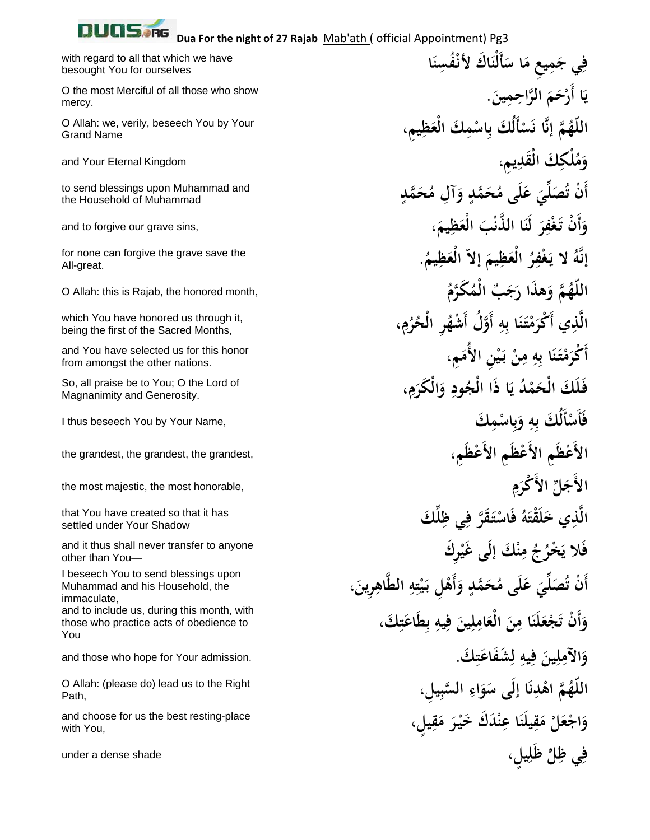| Dua For the night of 27 Rajab Mab'ath ( official Appointment) Pg3                            |                                                                 |
|----------------------------------------------------------------------------------------------|-----------------------------------------------------------------|
| with regard to all that which we have<br>besought You for ourselves                          | فِي جَمِيعٍ مَا سَأَلْنَاكَ لأَنْفُسِنَا                        |
| O the most Merciful of all those who show<br>mercy.                                          | يَا أَرْحَمَ الرَّاحِمِينَ.                                     |
| O Allah: we, verily, beseech You by Your<br><b>Grand Name</b>                                | اللَّهُمَّ إِنَّا نَسْأَلُكَ بِاسْمِكَ الْعَظِيمِ،              |
| and Your Eternal Kingdom                                                                     | وَمُلْكِكَ الْقَدِيمِ،                                          |
| to send blessings upon Muhammad and<br>the Household of Muhammad                             | أَنْ تُصَلِّيَ عَلَى مُحَمَّدٍ وَآلِ مُحَمَّدٍ                  |
| and to forgive our grave sins,                                                               | وَأَنْ تَغْفِرَ لَنَا الذَّنْبَ الْعَظِيمَ،                     |
| for none can forgive the grave save the<br>All-great.                                        | إِنَّهُ لا يَغْفِرُ الْعَظِيمَ إِلاَّ الْعَظِيمُ.               |
| O Allah: this is Rajab, the honored month,                                                   | اللَّهُمَّ وَهذَا رَجَبٌ الْمُكَرَّمُ                           |
| which You have honored us through it,<br>being the first of the Sacred Months,               | الَّذِي أَكْرَمْتَنَا بِهِ أَوَّلُ أَشْهُرِ الْحُرُمِ،          |
| and You have selected us for this honor<br>from amongst the other nations.                   | أَكْرَمْتَنَا بِهِ مِنْ بَيْنِ الأُمَمِ،                        |
| So, all praise be to You; O the Lord of<br>Magnanimity and Generosity.                       | فَلَكَ الْحَمْدُ يَا ذَا الْجُودِ وَالْكَرَمِ،                  |
| I thus beseech You by Your Name,                                                             | فَأَسْأَلُكَ بِهِ وَبِاسْمِكَ                                   |
| the grandest, the grandest, the grandest,                                                    | الأَعْظَمِ الأَعْظَمِ الأَعْظَمِ،                               |
| the most majestic, the most honorable,                                                       | الأَجَلِّ الأَكْرَمِ                                            |
| that You have created so that it has<br>settled under Your Shadow                            | الَّذِي خَلَقْتَهُ فَاسْتَقَرَّ فِي ظِلَّكَ                     |
| and it thus shall never transfer to anyone<br>other than You-                                | فَلا يَخْرُجُ مِنْكَ إِلَى غَيْرِكَ                             |
| I beseech You to send blessings upon<br>Muhammad and his Household, the<br>immaculate,       | أَنْ تُصَلِّيَ عَلَى مُحَمَّدٍ وَأَهْلِ بَيْتِهِ الطَّاهِرِينَ، |
| and to include us, during this month, with<br>those who practice acts of obedience to<br>You | وَأَنْ تَجْعَلَنَا مِنَ الْعَامِلِينَ فِيهِ بطَاعَتِكَ،         |
| and those who hope for Your admission.                                                       | وَالآمِلِينَ فِيهِ لِشْفَاعَتِكَ.                               |
| O Allah: (please do) lead us to the Right<br>Path,                                           | اللَّهُمَّ اهْدِنَا إِلَى سَوَاءِ السَّبِيلِ،                   |
| and choose for us the best resting-place<br>with You,                                        | وَاجْعَلْ مَقِيلَنَا عِنْدَكَ خَيْرَ مَقِيلٍ،                   |
| under a dense shade                                                                          | فِي ظِلِّ ظَٰلِيلٍ،                                             |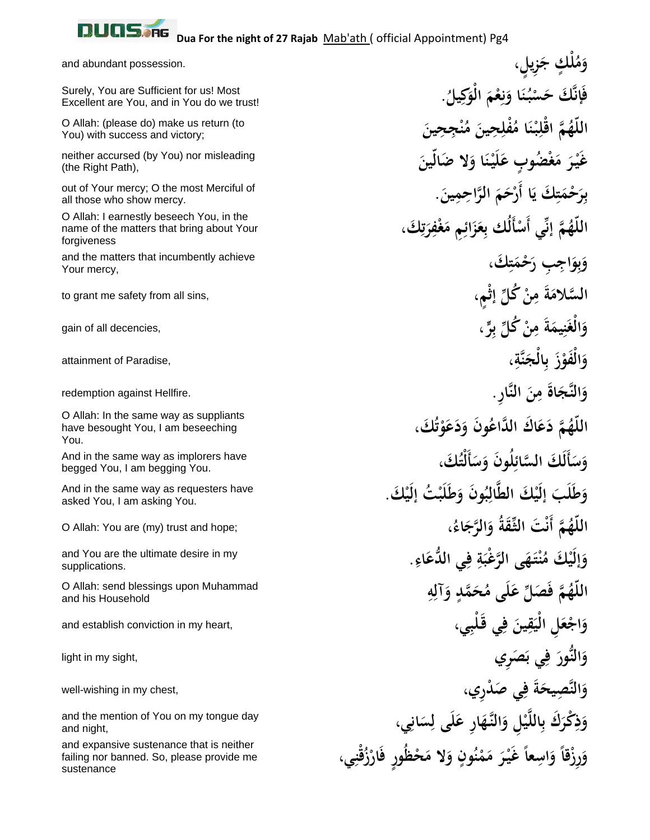

You.

sustenance

**ِ**

**َِ**

> **ب**<br>3 **َ**

**َ**

<u>دِ</u>

**َ**

**ْمُلْكٍ جَزِيلٍ، مَ** and abundant possession. **و . ُ ِيل ك َ الْو ْم ِع ا و ن ُ ْبـ َس َّ َك ح َإن ف** Surely, You are Sufficient for us! Most **َ** ن<br>م **َ َ** Excellent are You, and in You do we trust! **َ ِج ِحين ن ُ َ م ِ ِحين ُْفل ا م ْن بـ ْل م اق ُ َّ ّه الل** O Allah: (please do) make us return (to **ْ َ** You) with success and victory; **َ َلا َضالّين ا و ْن َيـ َل ْ ُض ٍوب ع َغ َ م ْر َيـ غ** neither accursed (by You) nor misleading **َ** (the Right Path), **ِ بِرَحْمَتِكَ يَا أَرْحَمَ الرَّاحِمِينَ. ب**<br>• **م** out of Your mercy; O the most Merciful of all those who show mercy. O Allah: I earnestly beseech You, in the<br>name of the matters that bring about Your<br>forgiveness **ِ** ن<br>ج<br>-**َ** name of the matters that bring about Your forgiveness **ِ َك، ت ْم َح ِ ِب ر َاج ِو و** and the matters that incumbently achieve **َ** Your mercy, **ٍْم، ْ ُك ِّل إث ِن َ م َة السلام َّ** to grant me safety from all sins, **ر، ٍّ ْ ُك ِّل ب ِن َ م َة ِيم َن غْالَ** gain of all decencies, **و ِ ،ِ َنَّة ِالْج َ ب ْز الْفو َ َ** attainment of Paradise, **و َ ِ النَّار. ِن َ م َاة النَّجَ** redemption against Hellfire. **و ُ َك، َو َع َد ُ َون و َ َ اك َّ الداع َع م د ُ َّ ّه الل** O Allah: In the same way as suppliants **ت ْ** have besought You, I am beseeching **ُ َك، أَلْت َس ُ َون و ل السائ أَلَ َك َّ َس و** And in the same way as implorers have **َ ِ** begged You, I am begging You. **ْ َك. ْ ُت إلَي َب َل َط ُ َون و ب ال َّ ْ َك الط َ َب إلَي َل َط و** And in the same way as requesters have **ِ** asked You, I am asking You. **، ُ َاء َ َّ الرج ُ و ِّ الثـَقة ْ َت م أَن َّ ُ** O Allah: You are (my) trust and hope; **هّ الل** and You are the ultimate desire in my وَإِلَيْكَ مُنْتَهَى الرَّعْبَةِ فِي الدُّعَاءِ.<br>supplications. **َ** supplications. **ِ** O Allah: send blessings upon Muhammad<br>and his Household and his Household (الْمَلَّـهُمَّ فَصَلِّ عَلَى مُحَمَّدٍ وَآلِهِ **ِ** and his Household **ِي، ِي َقـْلب َ ف ِين ق َ ِل الْي ْع اجَ** and establish conviction in my heart, **و َ َ َصِري ِي ب َ ف النُّورَ** light in my sight, **و ِي َص ْدِري، َ ف َة النَّصيح ِ َ** well-wishing in my chest, **<sup>و</sup>** and the mention of You on my tongue day<br>and night, and night, and night, and night, وَرِزْقاً وَاسِعاً غَيْرَ مَمْنُونٍ وَلا مَحْظُورٍ فَارْزُقْنِي، and expansive sustenance that is neither failing nor banned. So, please provide me